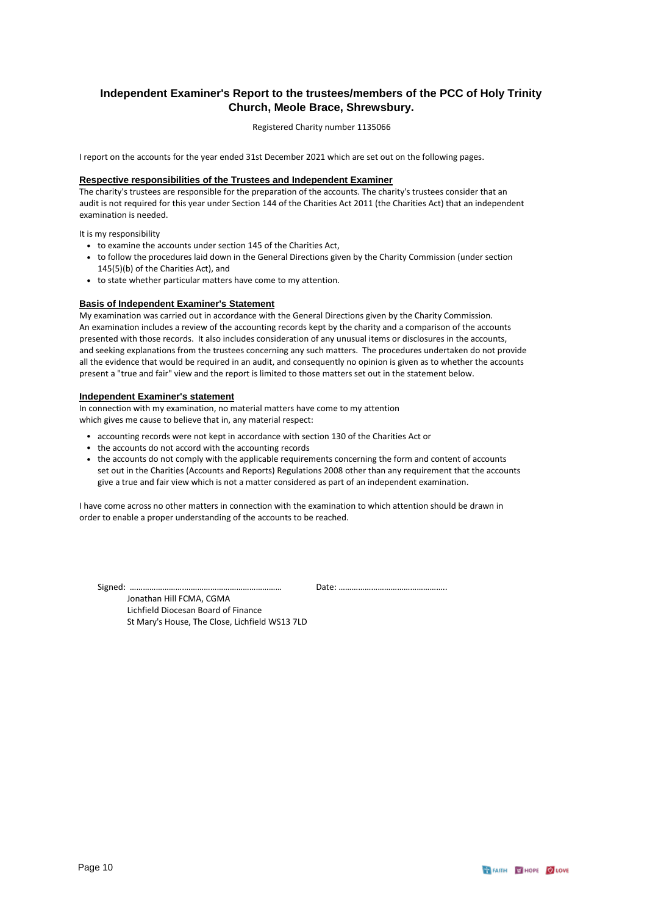### **Independent Examiner's Report to the trustees/members of the PCC of Holy Trinity Church, Meole Brace, Shrewsbury.**

Registered Charity number 1135066

I report on the accounts for the year ended 31st December 2021 which are set out on the following pages.

### **Respective responsibilities of the Trustees and Independent Examiner**

The charity's trustees are responsible for the preparation of the accounts. The charity's trustees consider that an audit is not required for this year under Section 144 of the Charities Act 2011 (the Charities Act) that an independent examination is needed.

It is my responsibility

- to examine the accounts under section 145 of the Charities Act,
- to follow the procedures laid down in the General Directions given by the Charity Commission (under section 145(5)(b) of the Charities Act), and
- to state whether particular matters have come to my attention.

#### **Basis of Independent Examiner's Statement**

My examination was carried out in accordance with the General Directions given by the Charity Commission. An examination includes a review of the accounting records kept by the charity and a comparison of the accounts presented with those records. It also includes consideration of any unusual items or disclosures in the accounts, and seeking explanations from the trustees concerning any such matters. The procedures undertaken do not provide all the evidence that would be required in an audit, and consequently no opinion is given as to whether the accounts present a "true and fair" view and the report is limited to those matters set out in the statement below.

### **Independent Examiner's statement**

In connection with my examination, no material matters have come to my attention which gives me cause to believe that in, any material respect:

- accounting records were not kept in accordance with section 130 of the Charities Act or
- the accounts do not accord with the accounting records
- the accounts do not comply with the applicable requirements concerning the form and content of accounts set out in the Charities (Accounts and Reports) Regulations 2008 other than any requirement that the accounts give a true and fair view which is not a matter considered as part of an independent examination.

I have come across no other matters in connection with the examination to which attention should be drawn in order to enable a proper understanding of the accounts to be reached.

Signed: …………………….……………………………………… Date: …………………………………………..

Jonathan Hill FCMA, CGMA Lichfield Diocesan Board of Finance St Mary's House, The Close, Lichfield WS13 7LD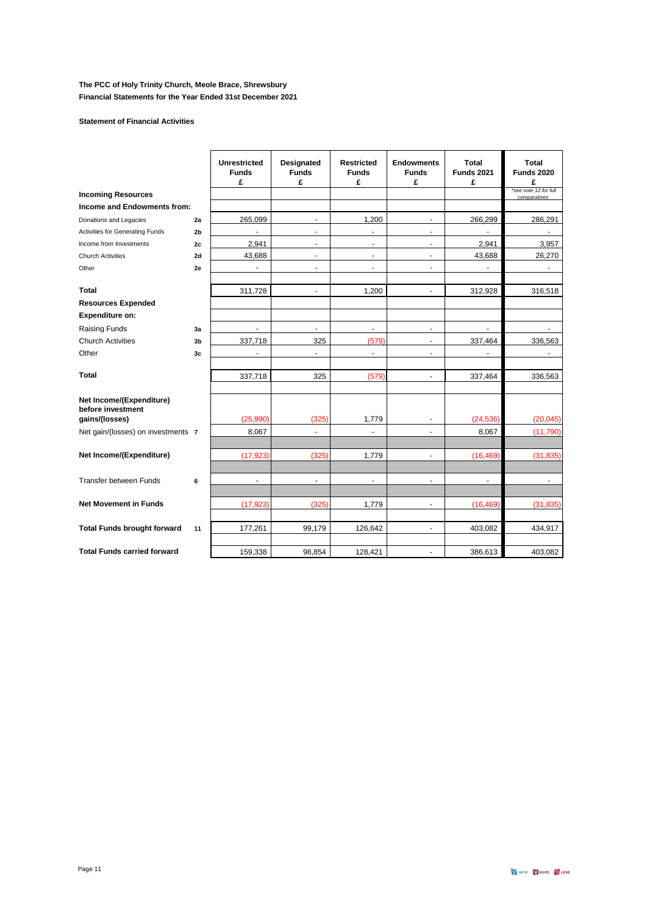### **Statement of Financial Activities**

|                                                                 |                | <b>Unrestricted</b><br><b>Funds</b><br>£ | Designated<br><b>Funds</b><br>£ | <b>Restricted</b><br><b>Funds</b><br>£ | <b>Endowments</b><br><b>Funds</b><br>£ | Total<br><b>Funds 2021</b><br>£ | Total<br><b>Funds 2020</b><br>£       |
|-----------------------------------------------------------------|----------------|------------------------------------------|---------------------------------|----------------------------------------|----------------------------------------|---------------------------------|---------------------------------------|
| <b>Incoming Resources</b>                                       |                |                                          |                                 |                                        |                                        |                                 | *see note 12 for full<br>comparatives |
| Income and Endowments from:                                     |                |                                          |                                 |                                        |                                        |                                 |                                       |
| Donations and Legacies                                          | 2a             | 265,099                                  | $\blacksquare$                  | 1,200                                  | $\blacksquare$                         | 266,299                         | 286,291                               |
| <b>Activities for Generating Funds</b>                          | 2 <sub>b</sub> | $\sim$                                   | $\sim$                          | ä,                                     | $\ddot{\phantom{1}}$                   |                                 |                                       |
| Income from Investments                                         | 2c             | 2,941                                    | $\blacksquare$                  | ٠                                      | $\blacksquare$                         | 2,941                           | 3,957                                 |
| <b>Church Activities</b>                                        | 2d             | 43,688                                   | $\blacksquare$                  | $\blacksquare$                         | $\overline{\phantom{a}}$               | 43,688                          | 26,270                                |
| Other                                                           | 2e             |                                          | $\sim$                          | $\blacksquare$                         | $\ddot{\phantom{1}}$                   | ÷.                              | $\ddot{\phantom{1}}$                  |
| <b>Total</b>                                                    |                | 311,728                                  | $\overline{\phantom{a}}$        | 1,200                                  | $\blacksquare$                         | 312,928                         | 316,518                               |
| <b>Resources Expended</b>                                       |                |                                          |                                 |                                        |                                        |                                 |                                       |
| Expenditure on:                                                 |                |                                          |                                 |                                        |                                        |                                 |                                       |
| <b>Raising Funds</b>                                            | 3a             | $\overline{a}$                           | $\blacksquare$                  | $\blacksquare$                         | $\overline{\phantom{a}}$               |                                 |                                       |
| <b>Church Activities</b>                                        | 3 <sub>b</sub> | 337,718                                  | 325                             | (579)                                  | ٠                                      | 337,464                         | 336,563                               |
| Other                                                           | 3c             | $\blacksquare$                           | $\blacksquare$                  | $\blacksquare$                         | $\blacksquare$                         | $\overline{\phantom{a}}$        | $\blacksquare$                        |
| Total                                                           |                | 337,718                                  | 325                             | (579)                                  | $\blacksquare$                         | 337,464                         | 336,563                               |
| Net Income/(Expenditure)<br>before investment<br>gains/(losses) |                | (25,990)                                 | (325)                           | 1,779                                  | $\overline{\phantom{a}}$               | (24, 536)                       | (20, 045)                             |
| Net gain/(losses) on investments 7                              |                | 8,067                                    | ä,                              |                                        | $\blacksquare$                         | 8,067                           | (11,790)                              |
|                                                                 |                |                                          |                                 |                                        |                                        |                                 |                                       |
| Net Income/(Expenditure)                                        |                | (17, 923)                                | (325)                           | 1,779                                  | ä,                                     | (16, 469)                       | (31, 835)                             |
| <b>Transfer between Funds</b>                                   | 6              | $\overline{\phantom{a}}$                 | ÷,                              | ä,                                     | $\ddot{\phantom{0}}$                   | $\overline{\phantom{a}}$        |                                       |
| <b>Net Movement in Funds</b>                                    |                | (17, 923)                                | (325)                           | 1.779                                  | $\blacksquare$                         | (16, 469)                       | (31, 835)                             |
|                                                                 |                |                                          |                                 |                                        |                                        |                                 |                                       |
| <b>Total Funds brought forward</b>                              | 11             | 177,261                                  | 99,179                          | 126,642                                | $\blacksquare$                         | 403,082                         | 434,917                               |
| <b>Total Funds carried forward</b>                              |                | 159,338                                  | 98,854                          | 128,421                                |                                        | 386,613                         | 403,082                               |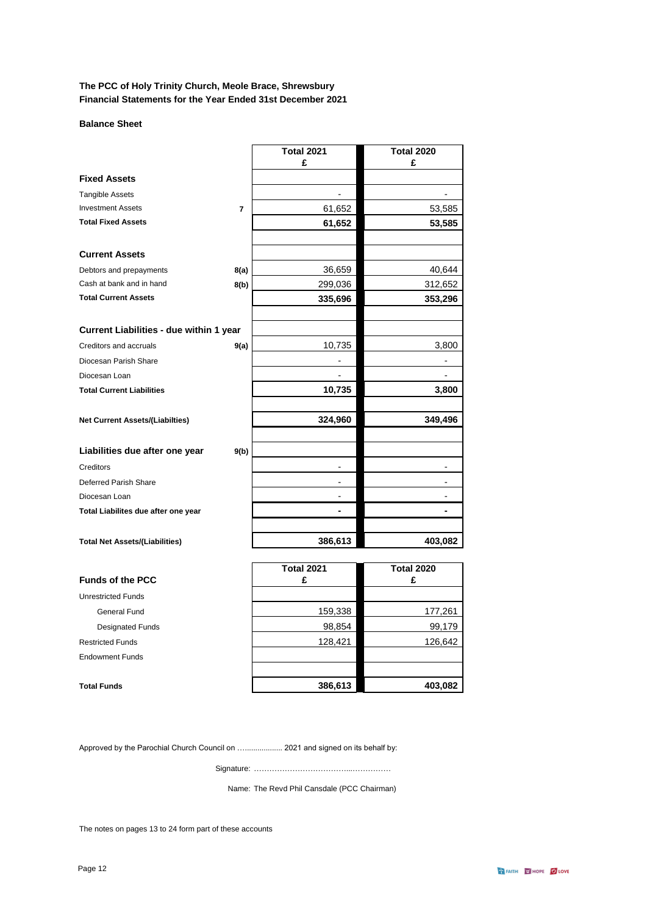### **Balance Sheet**

|                                         |                | <b>Total 2021</b> | <b>Total 2020</b> |
|-----------------------------------------|----------------|-------------------|-------------------|
|                                         |                | £                 | £                 |
| <b>Fixed Assets</b>                     |                |                   |                   |
| <b>Tangible Assets</b>                  |                |                   |                   |
| <b>Investment Assets</b>                | $\overline{7}$ | 61,652            | 53,585            |
| <b>Total Fixed Assets</b>               |                | 61,652            | 53,585            |
| <b>Current Assets</b>                   |                |                   |                   |
| Debtors and prepayments                 | 8(a)           | 36,659            | 40,644            |
| Cash at bank and in hand                | 8(b)           | 299,036           | 312,652           |
| <b>Total Current Assets</b>             |                | 335,696           | 353,296           |
| Current Liabilities - due within 1 year |                |                   |                   |
| Creditors and accruals                  | 9(a)           | 10,735            | 3,800             |
| Diocesan Parish Share                   |                |                   |                   |
| Diocesan Loan                           |                |                   |                   |
| <b>Total Current Liabilities</b>        |                | 10,735            | 3,800             |
| <b>Net Current Assets/(Liabilties)</b>  |                | 324,960           | 349,496           |
| Liabilities due after one year          | 9(b)           |                   |                   |
| Creditors                               |                |                   |                   |
| Deferred Parish Share                   |                | $\blacksquare$    | ۰                 |
| Diocesan Loan                           |                |                   |                   |
| Total Liabilites due after one year     |                |                   |                   |
| <b>Total Net Assets/(Liabilities)</b>   |                | 386,613           | 403,082           |
|                                         |                | <b>Total 2021</b> | <b>Total 2020</b> |

| <b>Funds of the PCC</b>   | TULAI ZUZT<br>£ | ι υιαι ΖυΖυ<br>£ |  |
|---------------------------|-----------------|------------------|--|
| <b>Unrestricted Funds</b> |                 |                  |  |
| General Fund              | 159,338         | 177,261          |  |
| <b>Designated Funds</b>   | 98,854          | 99,179           |  |
| <b>Restricted Funds</b>   | 128,421         | 126,642          |  |
| <b>Endowment Funds</b>    |                 |                  |  |
|                           |                 |                  |  |
| <b>Total Funds</b>        | 386,613         | 403,082          |  |

Approved by the Parochial Church Council on ….................. 2021 and signed on its behalf by:

Signature: ………………………………...……………

Name: The Revd Phil Cansdale (PCC Chairman)

The notes on pages 13 to 24 form part of these accounts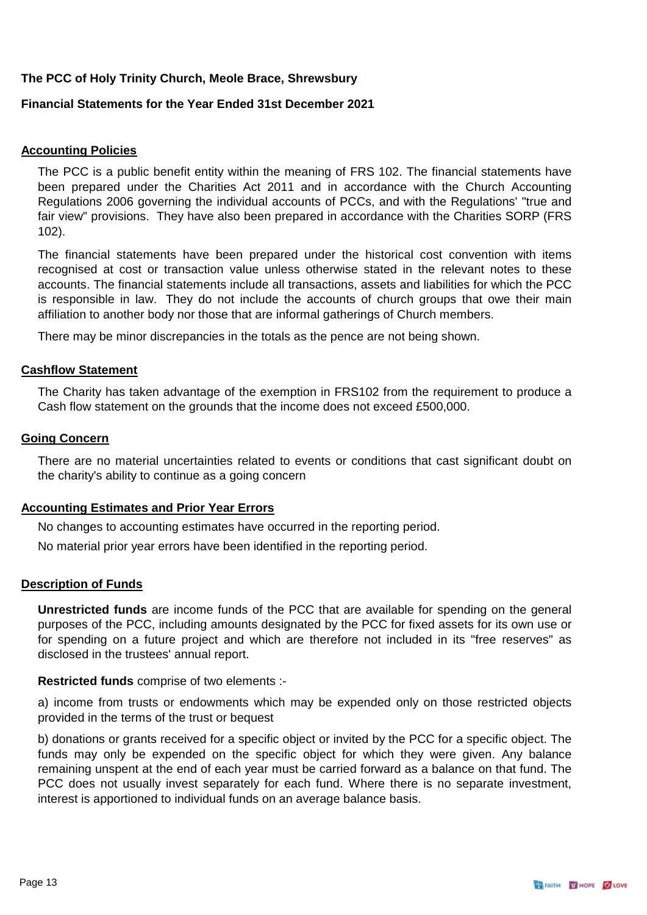## **Financial Statements for the Year Ended 31st December 2021**

## **Accounting Policies**

The PCC is a public benefit entity within the meaning of FRS 102. The financial statements have been prepared under the Charities Act 2011 and in accordance with the Church Accounting Regulations 2006 governing the individual accounts of PCCs, and with the Regulations' "true and fair view" provisions. They have also been prepared in accordance with the Charities SORP (FRS 102).

The financial statements have been prepared under the historical cost convention with items recognised at cost or transaction value unless otherwise stated in the relevant notes to these accounts. The financial statements include all transactions, assets and liabilities for which the PCC is responsible in law. They do not include the accounts of church groups that owe their main affiliation to another body nor those that are informal gatherings of Church members.

There may be minor discrepancies in the totals as the pence are not being shown.

### **Cashflow Statement**

The Charity has taken advantage of the exemption in FRS102 from the requirement to produce a Cash flow statement on the grounds that the income does not exceed £500,000.

### **Going Concern**

There are no material uncertainties related to events or conditions that cast significant doubt on the charity's ability to continue as a going concern

### **Accounting Estimates and Prior Year Errors**

No changes to accounting estimates have occurred in the reporting period.

No material prior year errors have been identified in the reporting period.

### **Description of Funds**

**Unrestricted funds** are income funds of the PCC that are available for spending on the general purposes of the PCC, including amounts designated by the PCC for fixed assets for its own use or for spending on a future project and which are therefore not included in its "free reserves" as disclosed in the trustees' annual report.

### **Restricted funds** comprise of two elements :-

a) income from trusts or endowments which may be expended only on those restricted objects provided in the terms of the trust or bequest

b) donations or grants received for a specific object or invited by the PCC for a specific object. The funds may only be expended on the specific object for which they were given. Any balance remaining unspent at the end of each year must be carried forward as a balance on that fund. The PCC does not usually invest separately for each fund. Where there is no separate investment, interest is apportioned to individual funds on an average balance basis.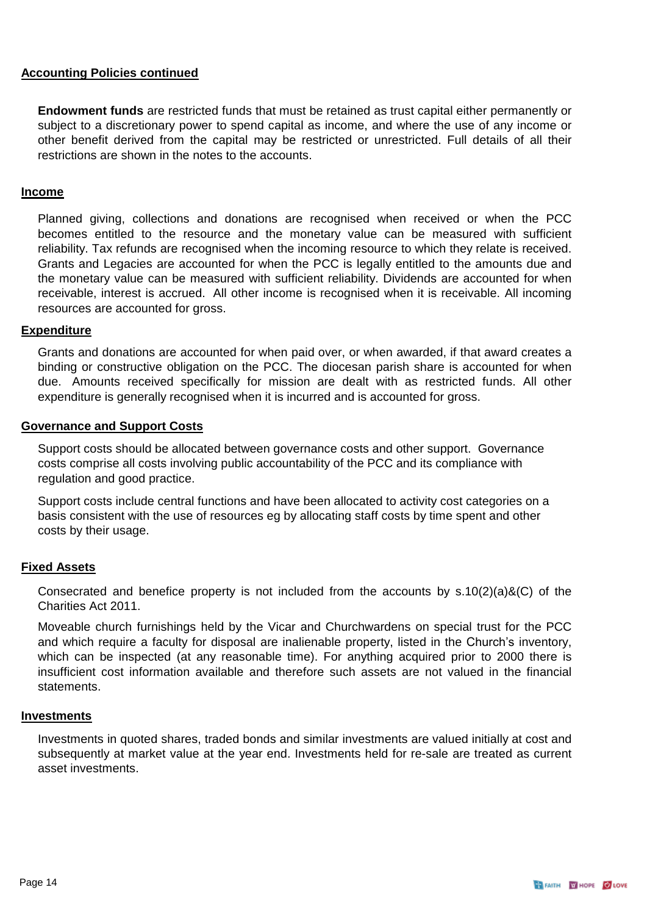## **Accounting Policies continued**

**Endowment funds** are restricted funds that must be retained as trust capital either permanently or subject to a discretionary power to spend capital as income, and where the use of any income or other benefit derived from the capital may be restricted or unrestricted. Full details of all their restrictions are shown in the notes to the accounts.

## **Income**

Planned giving, collections and donations are recognised when received or when the PCC becomes entitled to the resource and the monetary value can be measured with sufficient reliability. Tax refunds are recognised when the incoming resource to which they relate is received. Grants and Legacies are accounted for when the PCC is legally entitled to the amounts due and the monetary value can be measured with sufficient reliability. Dividends are accounted for when receivable, interest is accrued. All other income is recognised when it is receivable. All incoming resources are accounted for gross.

## **Expenditure**

Grants and donations are accounted for when paid over, or when awarded, if that award creates a binding or constructive obligation on the PCC. The diocesan parish share is accounted for when due. Amounts received specifically for mission are dealt with as restricted funds. All other expenditure is generally recognised when it is incurred and is accounted for gross.

## **Governance and Support Costs**

Support costs should be allocated between governance costs and other support. Governance costs comprise all costs involving public accountability of the PCC and its compliance with regulation and good practice.

Support costs include central functions and have been allocated to activity cost categories on a basis consistent with the use of resources eg by allocating staff costs by time spent and other costs by their usage.

## **Fixed Assets**

Consecrated and benefice property is not included from the accounts by  $s.10(2)(a)\&(C)$  of the Charities Act 2011.

Moveable church furnishings held by the Vicar and Churchwardens on special trust for the PCC and which require a faculty for disposal are inalienable property, listed in the Church's inventory, which can be inspected (at any reasonable time). For anything acquired prior to 2000 there is insufficient cost information available and therefore such assets are not valued in the financial statements.

### **Investments**

Investments in quoted shares, traded bonds and similar investments are valued initially at cost and subsequently at market value at the year end. Investments held for re-sale are treated as current asset investments.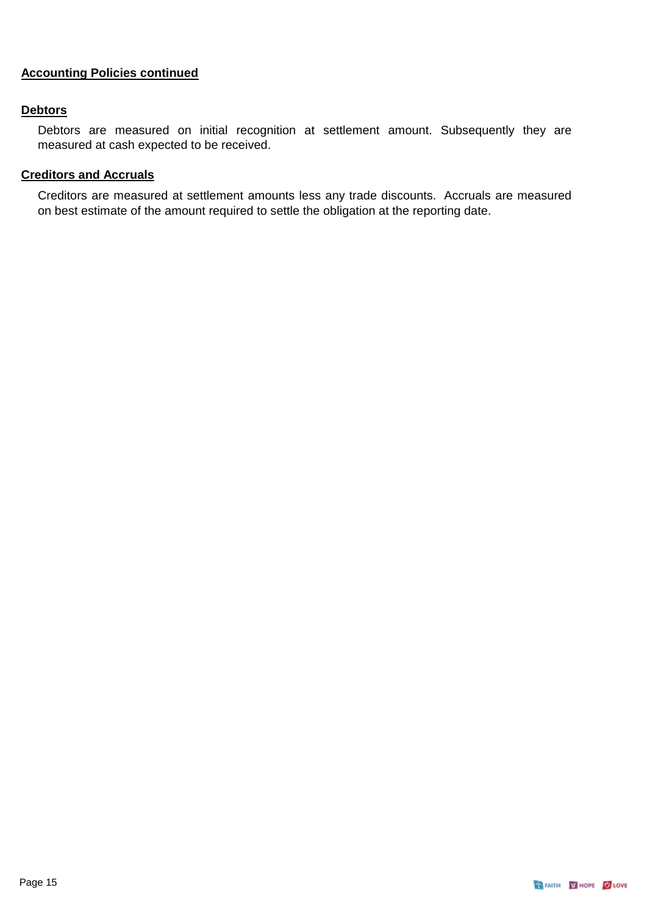## **Accounting Policies continued**

## **Debtors**

Debtors are measured on initial recognition at settlement amount. Subsequently they are measured at cash expected to be received.

## **Creditors and Accruals**

Creditors are measured at settlement amounts less any trade discounts. Accruals are measured on best estimate of the amount required to settle the obligation at the reporting date.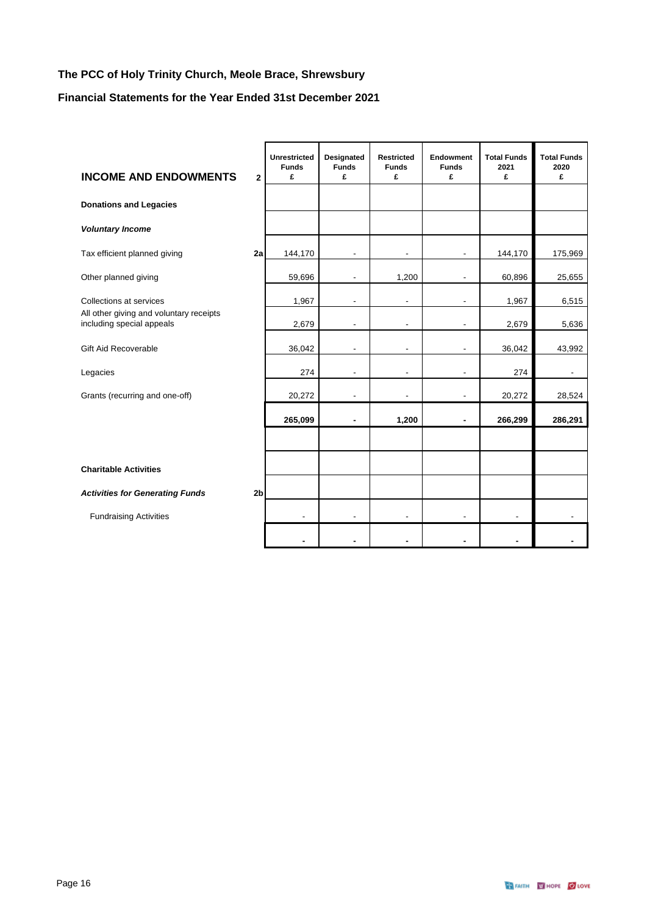## **Financial Statements for the Year Ended 31st December 2021**

| <b>INCOME AND ENDOWMENTS</b>                                         | $\overline{2}$ | <b>Unrestricted</b><br><b>Funds</b><br>£ | Designated<br><b>Funds</b><br>£ | <b>Restricted</b><br><b>Funds</b><br>£ | Endowment<br><b>Funds</b><br>£ | <b>Total Funds</b><br>2021<br>£ | <b>Total Funds</b><br>2020<br>£ |
|----------------------------------------------------------------------|----------------|------------------------------------------|---------------------------------|----------------------------------------|--------------------------------|---------------------------------|---------------------------------|
| <b>Donations and Legacies</b>                                        |                |                                          |                                 |                                        |                                |                                 |                                 |
| <b>Voluntary Income</b>                                              |                |                                          |                                 |                                        |                                |                                 |                                 |
| Tax efficient planned giving                                         | 2a             | 144,170                                  | $\overline{\phantom{a}}$        | $\blacksquare$                         | $\overline{\phantom{a}}$       | 144,170                         | 175,969                         |
| Other planned giving                                                 |                | 59,696                                   | L,                              | 1,200                                  | $\blacksquare$                 | 60,896                          | 25,655                          |
| Collections at services                                              |                | 1,967                                    | ٠                               | $\overline{\phantom{a}}$               | $\overline{\phantom{a}}$       | 1,967                           | 6,515                           |
| All other giving and voluntary receipts<br>including special appeals |                | 2,679                                    | L,                              |                                        | $\blacksquare$                 | 2,679                           | 5,636                           |
| <b>Gift Aid Recoverable</b>                                          |                | 36,042                                   | L.                              |                                        | ٠                              | 36,042                          | 43,992                          |
| Legacies                                                             |                | 274                                      |                                 |                                        | L,                             | 274                             | $\blacksquare$                  |
| Grants (recurring and one-off)                                       |                | 20,272                                   |                                 |                                        | $\blacksquare$                 | 20,272                          | 28,524                          |
|                                                                      |                | 265,099                                  | $\blacksquare$                  | 1,200                                  | $\blacksquare$                 | 266,299                         | 286,291                         |
|                                                                      |                |                                          |                                 |                                        |                                |                                 |                                 |
| <b>Charitable Activities</b>                                         |                |                                          |                                 |                                        |                                |                                 |                                 |
| <b>Activities for Generating Funds</b>                               | 2 <sub>b</sub> |                                          |                                 |                                        |                                |                                 |                                 |
| <b>Fundraising Activities</b>                                        |                | $\overline{\phantom{a}}$                 | ÷,                              | $\overline{\phantom{a}}$               | $\overline{\phantom{a}}$       | $\overline{\phantom{a}}$        |                                 |
|                                                                      |                |                                          |                                 |                                        |                                |                                 |                                 |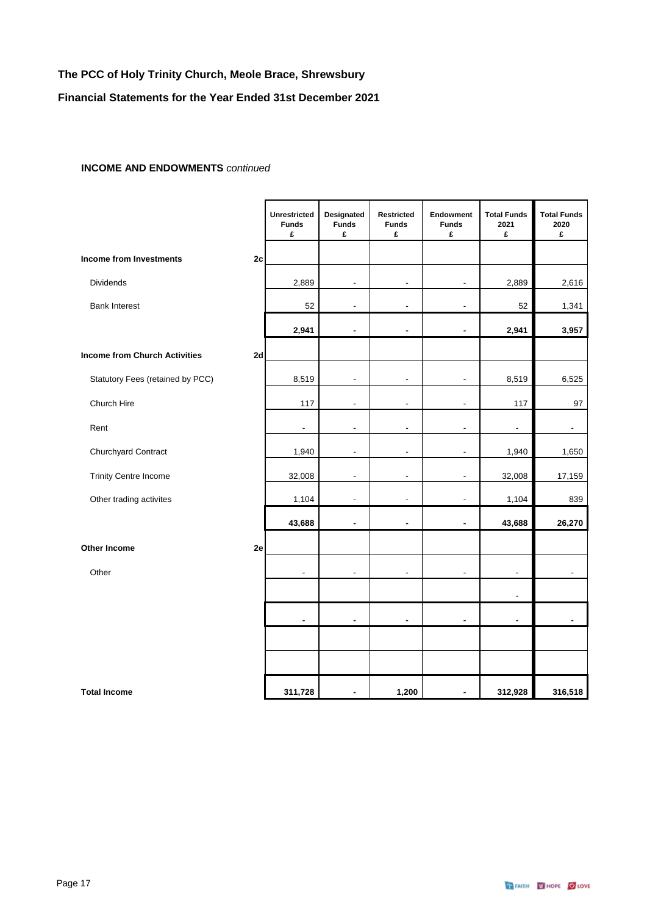## **Financial Statements for the Year Ended 31st December 2021**

### **INCOME AND ENDOWMENTS** *continued*

|                                      |    | <b>Unrestricted</b><br><b>Funds</b><br>£ | Designated<br><b>Funds</b><br>£ | Restricted<br><b>Funds</b><br>£ | Endowment<br><b>Funds</b><br>£ | <b>Total Funds</b><br>2021<br>£ | <b>Total Funds</b><br>2020<br>£ |
|--------------------------------------|----|------------------------------------------|---------------------------------|---------------------------------|--------------------------------|---------------------------------|---------------------------------|
| <b>Income from Investments</b>       | 2c |                                          |                                 |                                 |                                |                                 |                                 |
| Dividends                            |    | 2,889                                    | $\overline{a}$                  | $\overline{\phantom{a}}$        | ä,                             | 2,889                           | 2,616                           |
| <b>Bank Interest</b>                 |    | 52                                       | $\overline{a}$                  | $\blacksquare$                  | ä,                             | 52                              | 1,341                           |
|                                      |    | 2,941                                    | $\blacksquare$                  | $\blacksquare$                  | $\blacksquare$                 | 2,941                           | 3,957                           |
| <b>Income from Church Activities</b> | 2d |                                          |                                 |                                 |                                |                                 |                                 |
| Statutory Fees (retained by PCC)     |    | 8,519                                    | $\overline{a}$                  | ÷,                              | ÷,                             | 8,519                           | 6,525                           |
| Church Hire                          |    | 117                                      | Ĭ.                              | $\overline{a}$                  | ÷,                             | 117                             | 97                              |
| Rent                                 |    | $\overline{\phantom{a}}$                 | ä,                              | $\blacksquare$                  | $\overline{\phantom{a}}$       | $\blacksquare$                  | $\overline{\phantom{a}}$        |
| Churchyard Contract                  |    | 1,940                                    | $\blacksquare$                  | $\frac{1}{2}$                   | $\overline{\phantom{a}}$       | 1,940                           | 1,650                           |
| <b>Trinity Centre Income</b>         |    | 32,008                                   | $\overline{a}$                  | $\overline{a}$                  | L                              | 32,008                          | 17,159                          |
| Other trading activites              |    | 1,104                                    | $\overline{a}$                  | ÷,                              | L,                             | 1,104                           | 839                             |
|                                      |    | 43,688                                   |                                 | ۰                               | ä,                             | 43,688                          | 26,270                          |
| <b>Other Income</b>                  | 2e |                                          |                                 |                                 |                                |                                 |                                 |
| Other                                |    | $\blacksquare$                           | $\overline{a}$                  | $\overline{a}$                  | ÷,                             | $\overline{a}$                  | $\overline{\phantom{a}}$        |
|                                      |    |                                          |                                 |                                 |                                |                                 |                                 |
|                                      |    | ä,                                       | ä,                              | $\blacksquare$                  | $\blacksquare$                 |                                 |                                 |
|                                      |    |                                          |                                 |                                 |                                |                                 |                                 |
|                                      |    |                                          |                                 |                                 |                                |                                 |                                 |
| <b>Total Income</b>                  |    | 311,728                                  | $\blacksquare$                  | 1,200                           | $\blacksquare$                 | 312,928                         | 316,518                         |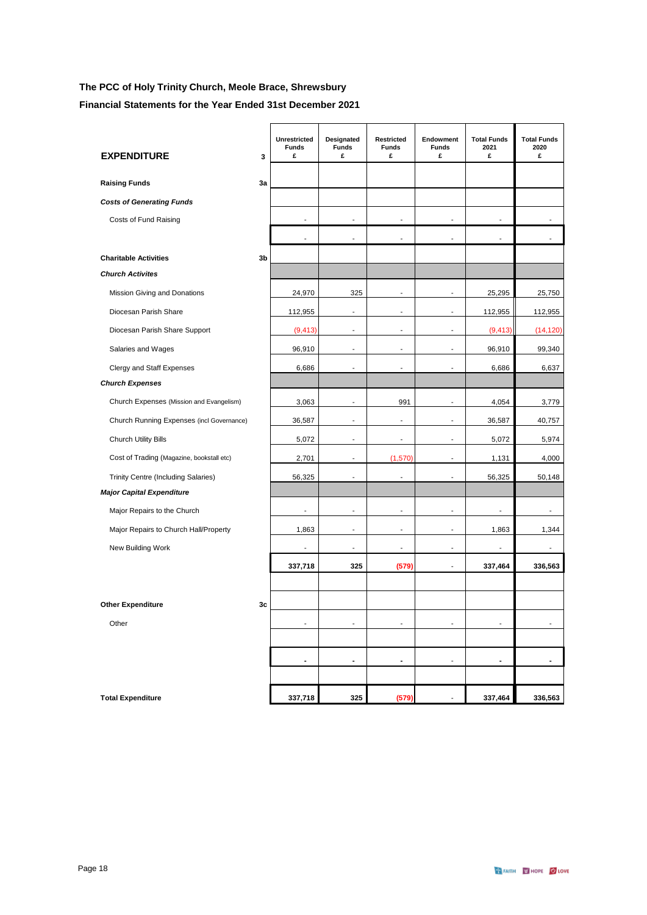**Financial Statements for the Year Ended 31st December 2021**

| <b>EXPENDITURE</b>                        | 3  | Unrestricted<br><b>Funds</b><br>£ | Designated<br><b>Funds</b><br>£ | Restricted<br><b>Funds</b><br>£ | Endowment<br><b>Funds</b><br>£ | <b>Total Funds</b><br>2021<br>£ | <b>Total Funds</b><br>2020<br>£ |
|-------------------------------------------|----|-----------------------------------|---------------------------------|---------------------------------|--------------------------------|---------------------------------|---------------------------------|
| <b>Raising Funds</b>                      | 3a |                                   |                                 |                                 |                                |                                 |                                 |
| <b>Costs of Generating Funds</b>          |    |                                   |                                 |                                 |                                |                                 |                                 |
| Costs of Fund Raising                     |    | ÷                                 |                                 |                                 | ٠                              |                                 |                                 |
|                                           |    |                                   | $\overline{a}$                  | $\overline{\phantom{a}}$        | ä,                             |                                 | $\overline{a}$                  |
| <b>Charitable Activities</b>              | 3b |                                   |                                 |                                 |                                |                                 |                                 |
| <b>Church Activites</b>                   |    |                                   |                                 |                                 |                                |                                 |                                 |
| Mission Giving and Donations              |    | 24,970                            | 325                             | $\blacksquare$                  | $\overline{\phantom{a}}$       | 25,295                          | 25,750                          |
| Diocesan Parish Share                     |    | 112,955                           | ÷.                              | ÷.                              | ÷                              | 112,955                         | 112,955                         |
| Diocesan Parish Share Support             |    | (9, 413)                          | ä,                              | ä,                              | ÷,                             | (9, 413)                        | (14, 120)                       |
| Salaries and Wages                        |    | 96,910                            | ÷.                              | $\blacksquare$                  | $\blacksquare$                 | 96.910                          | 99.340                          |
| Clergy and Staff Expenses                 |    | 6,686                             | ÷,                              | ä,                              | ÷,                             | 6,686                           | 6,637                           |
| <b>Church Expenses</b>                    |    |                                   |                                 |                                 |                                |                                 |                                 |
| Church Expenses (Mission and Evangelism)  |    | 3,063                             |                                 | 991                             |                                | 4,054                           | 3,779                           |
| Church Running Expenses (incl Governance) |    | 36,587                            | $\blacksquare$                  | $\overline{\phantom{a}}$        | $\overline{\phantom{a}}$       | 36,587                          | 40,757                          |
| <b>Church Utility Bills</b>               |    | 5,072                             | $\overline{\phantom{a}}$        | $\blacksquare$                  | $\overline{\phantom{a}}$       | 5,072                           | 5,974                           |
| Cost of Trading (Magazine, bookstall etc) |    | 2,701                             | ÷                               | (1,570)                         | ÷                              | 1,131                           | 4,000                           |
| Trinity Centre (Including Salaries)       |    | 56,325                            |                                 |                                 |                                | 56,325                          | 50,148                          |
| <b>Major Capital Expenditure</b>          |    |                                   |                                 |                                 |                                |                                 |                                 |
| Major Repairs to the Church               |    | $\overline{\phantom{a}}$          | $\overline{\phantom{a}}$        | $\overline{\phantom{a}}$        | $\qquad \qquad \blacksquare$   | ÷                               | $\overline{\phantom{a}}$        |
| Major Repairs to Church Hall/Property     |    | 1,863                             | ÷,                              | ÷,                              | ÷,                             | 1,863                           | 1,344                           |
| New Building Work                         |    | ٠                                 | ٠                               | $\overline{\phantom{a}}$        | ٠                              | ۰                               | $\blacksquare$                  |
|                                           |    | 337,718                           | 325                             | (579)                           | ÷,                             | 337,464                         | 336,563                         |
|                                           |    |                                   |                                 |                                 |                                |                                 |                                 |
| <b>Other Expenditure</b>                  | 3c |                                   |                                 |                                 |                                |                                 |                                 |
| Other                                     |    | ä,                                |                                 |                                 |                                |                                 |                                 |
|                                           |    |                                   |                                 |                                 |                                |                                 |                                 |
|                                           |    | $\blacksquare$                    | $\blacksquare$                  | $\overline{\phantom{a}}$        | $\blacksquare$                 | $\blacksquare$                  | $\overline{\phantom{a}}$        |
|                                           |    |                                   |                                 |                                 |                                |                                 |                                 |
| <b>Total Expenditure</b>                  |    | 337,718                           | 325                             | (579)                           | $\blacksquare$                 | 337,464                         | 336,563                         |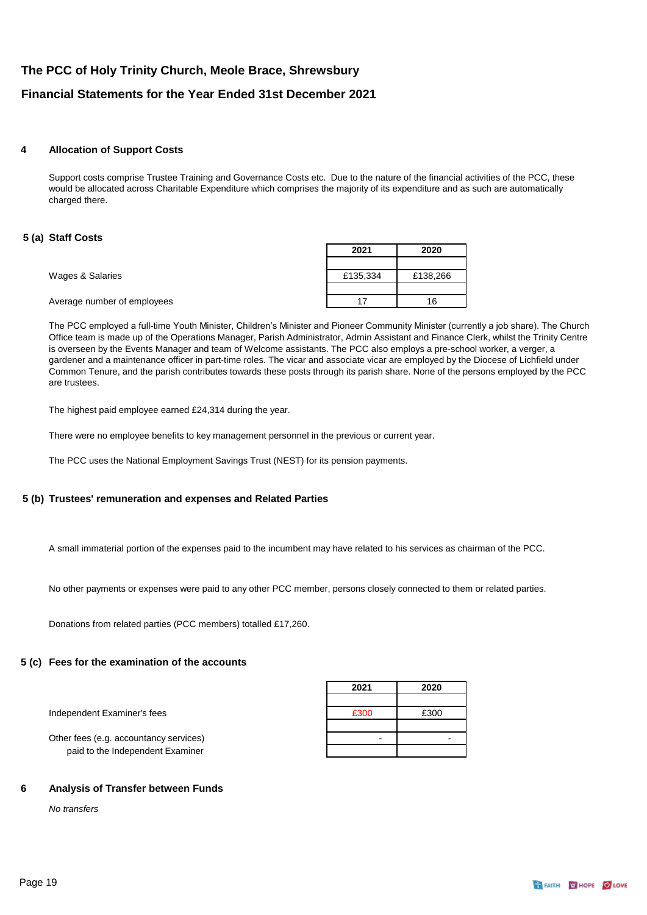### **4 Allocation of Support Costs**

Support costs comprise Trustee Training and Governance Costs etc. Due to the nature of the financial activities of the PCC, these would be allocated across Charitable Expenditure which comprises the majority of its expenditure and as such are automatically charged there.

### **5 (a) Staff Costs**

|                             | 2021     | 2020     |
|-----------------------------|----------|----------|
|                             |          |          |
| Wages & Salaries            | £135,334 | £138,266 |
|                             |          |          |
| Average number of employees | 17       | 16       |
|                             |          |          |

The PCC employed a full-time Youth Minister, Children's Minister and Pioneer Community Minister (currently a job share). The Church Office team is made up of the Operations Manager, Parish Administrator, Admin Assistant and Finance Clerk, whilst the Trinity Centre is overseen by the Events Manager and team of Welcome assistants. The PCC also employs a pre-school worker, a verger, a gardener and a maintenance officer in part-time roles. The vicar and associate vicar are employed by the Diocese of Lichfield under Common Tenure, and the parish contributes towards these posts through its parish share. None of the persons employed by the PCC are trustees.

The highest paid employee earned £24,314 during the year.

There were no employee benefits to key management personnel in the previous or current year.

The PCC uses the National Employment Savings Trust (NEST) for its pension payments.

### **5 (b) Trustees' remuneration and expenses and Related Parties**

A small immaterial portion of the expenses paid to the incumbent may have related to his services as chairman of the PCC.

No other payments or expenses were paid to any other PCC member, persons closely connected to them or related parties.

Donations from related parties (PCC members) totalled £17,260.

### **5 (c) Fees for the examination of the accounts**

|                                        | 2021 | 2020 |
|----------------------------------------|------|------|
| Independent Examiner's fees            | £300 | £300 |
| Other fees (e.g. accountancy services) |      |      |
| paid to the Independent Examiner       |      |      |

### **6 Analysis of Transfer between Funds**

*No transfers*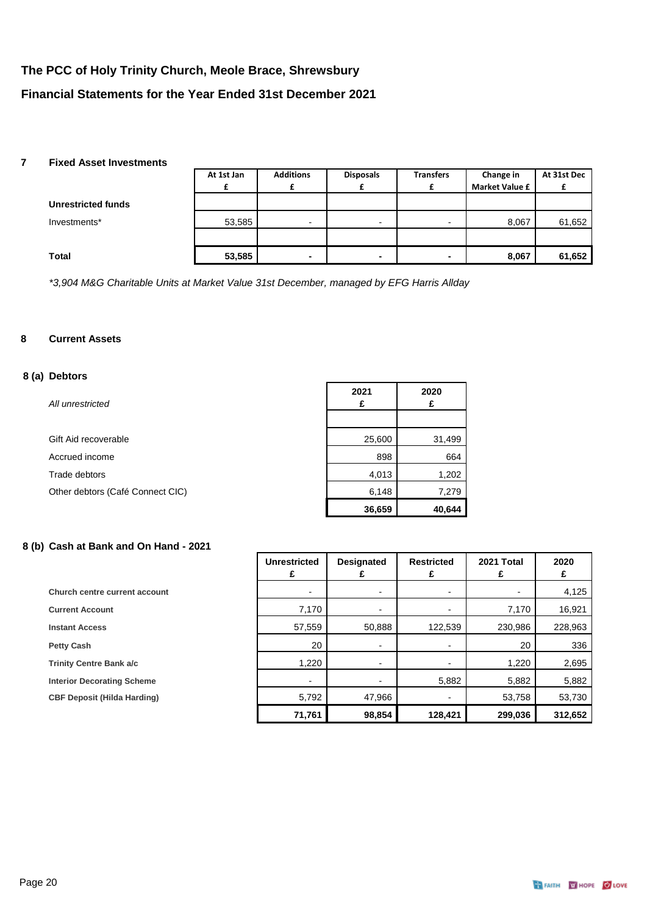### **7 Fixed Asset Investments**

|                           | At 1st Jan | <b>Additions</b>         | <b>Disposals</b> | <b>Transfers</b>         | Change in             | At 31st Dec |
|---------------------------|------------|--------------------------|------------------|--------------------------|-----------------------|-------------|
|                           |            |                          |                  |                          | <b>Market Value £</b> |             |
| <b>Unrestricted funds</b> |            |                          |                  |                          |                       |             |
| Investments*              | 53,585     | $\overline{\phantom{0}}$ | $\blacksquare$   | $\overline{\phantom{a}}$ | 8,067                 | 61,652      |
|                           |            |                          |                  |                          |                       |             |
| Total                     | 53,585     | ۰                        | ٠                | ۰                        | 8,067                 | 61,652      |

*\*3,904 M&G Charitable Units at Market Value 31st December, managed by EFG Harris Allday*

### **8 Current Assets**

### **8 (a) Debtors**

| All unrestricted                 | 2021<br>£ | 2020<br>£ |
|----------------------------------|-----------|-----------|
|                                  |           |           |
| Gift Aid recoverable             | 25,600    | 31,499    |
| Accrued income                   | 898       | 664       |
| Trade debtors                    | 4,013     | 1,202     |
| Other debtors (Café Connect CIC) | 6,148     | 7,279     |
|                                  | 36,659    | 40,644    |

## **8 (b) Cash at Bank and On Hand - 2021**

|                                    | <b>Unrestricted</b> | <b>Designated</b>        | <b>Restricted</b>        | 2021 Total | 2020    |
|------------------------------------|---------------------|--------------------------|--------------------------|------------|---------|
| Church centre current account      |                     |                          |                          |            | 4,125   |
| <b>Current Account</b>             | 7,170               |                          |                          | 7,170      | 16,921  |
| <b>Instant Access</b>              | 57,559              | 50,888                   | 122,539                  | 230,986    | 228,963 |
| <b>Petty Cash</b>                  | 20                  | $\blacksquare$           | $\overline{\phantom{a}}$ | 20         | 336     |
| <b>Trinity Centre Bank a/c</b>     | 1,220               | $\overline{\phantom{a}}$ | $\overline{\phantom{a}}$ | 1,220      | 2,695   |
| <b>Interior Decorating Scheme</b>  | -                   |                          | 5,882                    | 5,882      | 5,882   |
| <b>CBF Deposit (Hilda Harding)</b> | 5,792               | 47,966                   | $\overline{\phantom{a}}$ | 53,758     | 53,730  |
|                                    | 71,761              | 98,854                   | 128,421                  | 299,036    | 312,652 |

┑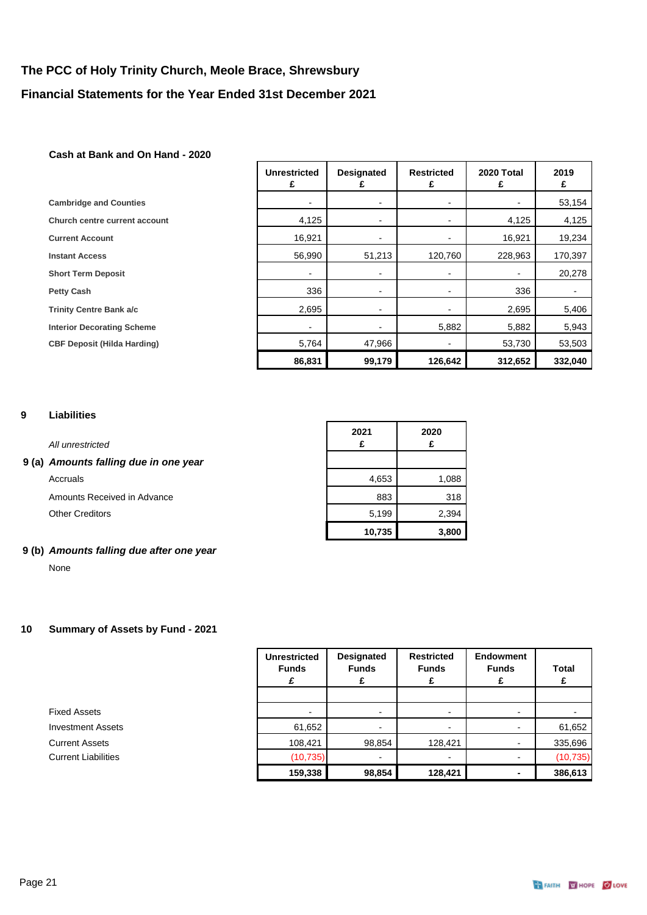### **Cash at Bank and On Hand - 2020**

|                                      | <b>Unrestricted</b><br>£ | <b>Designated</b> | <b>Restricted</b><br>£ | 2020 Total | 2019<br>£ |
|--------------------------------------|--------------------------|-------------------|------------------------|------------|-----------|
| <b>Cambridge and Counties</b>        |                          |                   |                        |            | 53,154    |
| <b>Church centre current account</b> | 4,125                    |                   |                        | 4,125      | 4,125     |
| <b>Current Account</b>               | 16,921                   |                   |                        | 16,921     | 19,234    |
| <b>Instant Access</b>                | 56,990                   | 51,213            | 120,760                | 228,963    | 170,397   |
| <b>Short Term Deposit</b>            | $\blacksquare$           |                   |                        |            | 20,278    |
| <b>Petty Cash</b>                    | 336                      |                   |                        | 336        | -         |
| <b>Trinity Centre Bank a/c</b>       | 2,695                    |                   |                        | 2,695      | 5,406     |
| <b>Interior Decorating Scheme</b>    | $\blacksquare$           |                   | 5,882                  | 5,882      | 5,943     |
| <b>CBF Deposit (Hilda Harding)</b>   | 5,764                    | 47,966            |                        | 53,730     | 53,503    |
|                                      | 86,831                   | 99,179            | 126,642                | 312,652    | 332,040   |

### **9 Liabilities**

### *All unrestricted*

### **9 (a)** *Amounts falling due in one year*

### **9 (b)** *Amounts falling due after one year*

None

### **10 Summary of Assets by Fund - 2021**

|                            | <b>Unrestricted</b><br><b>Funds</b><br>£ | <b>Designated</b><br><b>Funds</b><br>£ | <b>Restricted</b><br><b>Funds</b> | Endowment<br><b>Funds</b><br>£ | Total<br>£ |
|----------------------------|------------------------------------------|----------------------------------------|-----------------------------------|--------------------------------|------------|
|                            |                                          |                                        |                                   |                                |            |
| <b>Fixed Assets</b>        | $\overline{\phantom{0}}$                 | $\blacksquare$                         | $\overline{\phantom{a}}$          |                                |            |
| <b>Investment Assets</b>   | 61,652                                   | $\blacksquare$                         |                                   |                                | 61,652     |
| <b>Current Assets</b>      | 108,421                                  | 98,854                                 | 128,421                           |                                | 335,696    |
| <b>Current Liabilities</b> | (10, 735)                                | $\blacksquare$                         |                                   |                                | (10, 735)  |
|                            | 159,338                                  | 98,854                                 | 128,421                           |                                | 386,613    |

| All unrestricted                    | 2021   | 2020  |
|-------------------------------------|--------|-------|
| (a) Amounts falling due in one year |        |       |
| Accruals                            | 4,653  | 1,088 |
| Amounts Received in Advance         | 883    | 318   |
| <b>Other Creditors</b>              | 5,199  | 2,394 |
|                                     | 10,735 | 3,800 |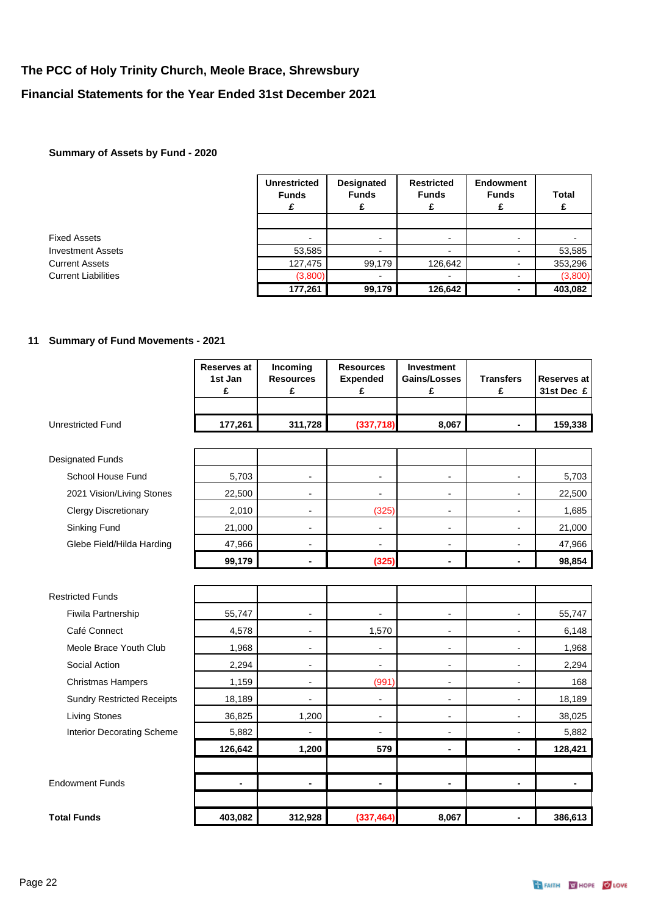### **Summary of Assets by Fund - 2020**

|                            | <b>Unrestricted</b><br><b>Funds</b> | <b>Designated</b><br><b>Funds</b> | <b>Restricted</b><br><b>Funds</b> | <b>Endowment</b><br><b>Funds</b><br>£ | <b>Total</b> |
|----------------------------|-------------------------------------|-----------------------------------|-----------------------------------|---------------------------------------|--------------|
|                            |                                     |                                   |                                   |                                       |              |
| Fixed Assets               | $\blacksquare$                      | $\blacksquare$                    | -                                 |                                       |              |
| <b>Investment Assets</b>   | 53,585                              | $\overline{\phantom{0}}$          |                                   |                                       | 53,585       |
| <b>Current Assets</b>      | 127,475                             | 99,179                            | 126,642                           |                                       | 353,296      |
| <b>Current Liabilities</b> | (3,800)                             | $\blacksquare$                    | $\overline{\phantom{0}}$          |                                       | (3,800)      |
|                            | 177,261                             | 99,179                            | 126,642                           |                                       | 403,082      |

## **11 Summary of Fund Movements - 2021**

|                                   | <b>Reserves at</b><br>1st Jan<br>£ | Incoming<br><b>Resources</b><br>£ | <b>Resources</b><br><b>Expended</b><br>£ | <b>Investment</b><br><b>Gains/Losses</b><br>£ | <b>Transfers</b><br>£    | <b>Reserves at</b><br>31st Dec £ |
|-----------------------------------|------------------------------------|-----------------------------------|------------------------------------------|-----------------------------------------------|--------------------------|----------------------------------|
| <b>Unrestricted Fund</b>          | 177,261                            | 311,728                           | (337, 718)                               | 8,067                                         | $\blacksquare$           | 159,338                          |
| <b>Designated Funds</b>           |                                    |                                   |                                          |                                               |                          |                                  |
| School House Fund                 | 5,703                              | $\overline{\phantom{a}}$          | $\overline{\phantom{a}}$                 | $\overline{\phantom{a}}$                      | $\overline{\phantom{a}}$ | 5,703                            |
| 2021 Vision/Living Stones         | 22,500                             | $\overline{a}$                    | $\overline{a}$                           | $\overline{\phantom{a}}$                      | $\overline{\phantom{a}}$ | 22,500                           |
| <b>Clergy Discretionary</b>       | 2,010                              | $\overline{\phantom{a}}$          | (325)                                    | $\blacksquare$                                | $\overline{\phantom{a}}$ | 1,685                            |
| Sinking Fund                      | 21,000                             | $\overline{\phantom{a}}$          | $\overline{\phantom{a}}$                 | $\overline{a}$                                |                          | 21,000                           |
| Glebe Field/Hilda Harding         | 47,966                             | $\overline{\phantom{a}}$          | $\overline{\phantom{a}}$                 | ۰                                             | $\overline{\phantom{a}}$ | 47,966                           |
|                                   | 99,179                             | $\blacksquare$                    | (325)                                    | $\blacksquare$                                | $\blacksquare$           | 98,854                           |
|                                   |                                    |                                   |                                          |                                               |                          |                                  |
| <b>Restricted Funds</b>           |                                    |                                   |                                          |                                               |                          |                                  |
| <b>Fiwila Partnership</b>         | 55,747                             | $\overline{a}$                    |                                          | $\overline{\phantom{a}}$                      |                          | 55,747                           |
| Café Connect                      | 4,578                              | $\overline{\phantom{a}}$          | 1,570                                    | $\overline{a}$                                | $\blacksquare$           | 6,148                            |
| Meole Brace Youth Club            | 1,968                              | $\overline{a}$                    | $\overline{a}$                           | $\overline{a}$                                |                          | 1,968                            |
| Social Action                     | 2,294                              | $\overline{\phantom{a}}$          | $\overline{\phantom{a}}$                 | $\overline{\phantom{a}}$                      | $\overline{\phantom{a}}$ | 2,294                            |
| <b>Christmas Hampers</b>          | 1,159                              | $\overline{\phantom{a}}$          | (991)                                    | $\overline{\phantom{a}}$                      | $\overline{a}$           | 168                              |
| <b>Sundry Restricted Receipts</b> | 18,189                             | $\overline{a}$                    | $\overline{\phantom{a}}$                 | $\overline{a}$                                |                          | 18,189                           |
| <b>Living Stones</b>              | 36,825                             | 1,200                             | $\blacksquare$                           | $\overline{\phantom{a}}$                      | $\overline{\phantom{a}}$ | 38,025                           |
| Interior Decorating Scheme        | 5,882                              | $\overline{a}$                    | $\overline{\phantom{a}}$                 | $\overline{a}$                                | $\overline{\phantom{a}}$ | 5,882                            |
|                                   | 126,642                            | 1,200                             | 579                                      | ä,                                            |                          | 128,421                          |
|                                   |                                    |                                   |                                          |                                               |                          |                                  |
| <b>Endowment Funds</b>            | ۰                                  | ٠                                 | $\blacksquare$                           | ä,                                            | $\blacksquare$           | ۰                                |
|                                   |                                    |                                   |                                          |                                               |                          |                                  |
| <b>Total Funds</b>                | 403,082                            | 312,928                           | (337, 464)                               | 8,067                                         | $\blacksquare$           | 386,613                          |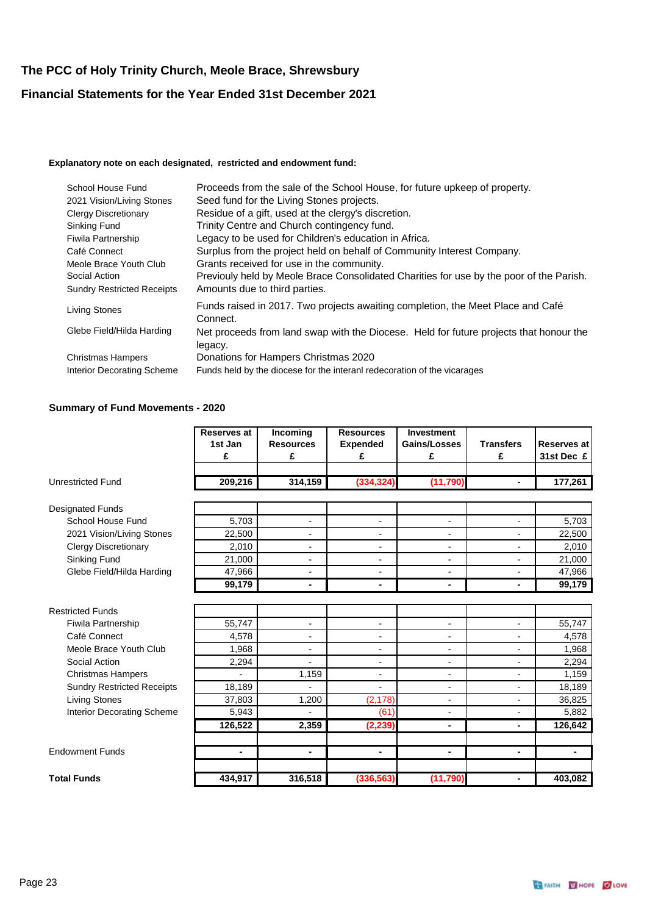### **Explanatory note on each designated, restricted and endowment fund:**

| School House Fund                 | Proceeds from the sale of the School House, for future upkeep of property.                        |
|-----------------------------------|---------------------------------------------------------------------------------------------------|
| 2021 Vision/Living Stones         | Seed fund for the Living Stones projects.                                                         |
| <b>Clergy Discretionary</b>       | Residue of a gift, used at the clergy's discretion.                                               |
| Sinking Fund                      | Trinity Centre and Church contingency fund.                                                       |
| <b>Fiwila Partnership</b>         | Legacy to be used for Children's education in Africa.                                             |
| Café Connect                      | Surplus from the project held on behalf of Community Interest Company.                            |
| Meole Brace Youth Club            | Grants received for use in the community.                                                         |
| Social Action                     | Previouly held by Meole Brace Consolidated Charities for use by the poor of the Parish.           |
| <b>Sundry Restricted Receipts</b> | Amounts due to third parties.                                                                     |
| <b>Living Stones</b>              | Funds raised in 2017. Two projects awaiting completion, the Meet Place and Café<br>Connect.       |
| Glebe Field/Hilda Harding         | Net proceeds from land swap with the Diocese. Held for future projects that honour the<br>legacy. |
| <b>Christmas Hampers</b>          | Donations for Hampers Christmas 2020                                                              |
| Interior Decorating Scheme        | Funds held by the diocese for the interanl redecoration of the vicarages                          |

### **Summary of Fund Movements - 2020**

|                                   | <b>Reserves at</b><br>1st Jan<br>£ | <b>Incoming</b><br><b>Resources</b><br>£ | <b>Resources</b><br><b>Expended</b><br>£ | <b>Investment</b><br>Gains/Losses<br>£ | <b>Transfers</b><br>£    | Reserves at<br>31st Dec £ |
|-----------------------------------|------------------------------------|------------------------------------------|------------------------------------------|----------------------------------------|--------------------------|---------------------------|
| <b>Unrestricted Fund</b>          | 209,216                            | 314,159                                  | (334, 324)                               | (11,790)                               | $\blacksquare$           | 177,261                   |
| <b>Designated Funds</b>           |                                    |                                          |                                          |                                        |                          |                           |
| School House Fund                 | 5,703                              | $\overline{\phantom{a}}$                 | $\overline{\phantom{0}}$                 | $\overline{\phantom{a}}$               | $\overline{\phantom{a}}$ | 5,703                     |
| 2021 Vision/Living Stones         | 22,500                             | $\blacksquare$                           | $\overline{\phantom{0}}$                 | ٠                                      | L,                       | 22,500                    |
| <b>Clergy Discretionary</b>       | 2,010                              | $\blacksquare$                           | $\overline{a}$                           | $\overline{\phantom{0}}$               | ÷                        | 2,010                     |
| Sinking Fund                      | 21,000                             | $\overline{\phantom{a}}$                 | $\overline{\phantom{0}}$                 | -                                      |                          | 21,000                    |
| Glebe Field/Hilda Harding         | 47,966                             | $\overline{a}$                           | $\overline{a}$                           | $\overline{a}$                         | $\overline{a}$           | 47,966                    |
|                                   | 99,179                             | ٠                                        | ۰                                        | ۰                                      | $\blacksquare$           | 99,179                    |
|                                   |                                    |                                          |                                          |                                        |                          |                           |
| <b>Restricted Funds</b>           |                                    |                                          |                                          |                                        |                          |                           |
| Fiwila Partnership                | 55,747                             | $\blacksquare$                           | $\overline{\phantom{0}}$                 | $\overline{\phantom{0}}$               | $\overline{\phantom{0}}$ | 55,747                    |
| Café Connect                      | 4,578                              | $\overline{\phantom{a}}$                 | $\overline{a}$                           | $\overline{\phantom{0}}$               |                          | 4,578                     |
| Meole Brace Youth Club            | 1,968                              | $\blacksquare$                           | $\overline{\phantom{0}}$                 | $\overline{\phantom{0}}$               | $\blacksquare$           | 1,968                     |
| Social Action                     | 2,294                              |                                          | $\qquad \qquad \blacksquare$             | -                                      | -                        | 2,294                     |
| <b>Christmas Hampers</b>          |                                    | 1,159                                    | $\overline{a}$                           | $\overline{a}$                         | $\overline{a}$           | 1,159                     |
| <b>Sundry Restricted Receipts</b> | 18,189                             |                                          | $\overline{\phantom{0}}$                 | $\overline{\phantom{0}}$               | $\overline{\phantom{a}}$ | 18,189                    |
| <b>Living Stones</b>              | 37,803                             | 1,200                                    | (2, 178)                                 | $\overline{\phantom{0}}$               | $\overline{a}$           | 36,825                    |
| <b>Interior Decorating Scheme</b> | 5,943                              |                                          | (61)                                     | $\overline{\phantom{0}}$               | -                        | 5,882                     |
|                                   | 126,522                            | 2,359                                    | (2, 239)                                 | $\blacksquare$                         | $\blacksquare$           | 126,642                   |
|                                   |                                    |                                          |                                          |                                        |                          |                           |
| <b>Endowment Funds</b>            | ٠                                  | ٠                                        | ۰                                        | -                                      | $\blacksquare$           | ۰                         |
| <b>Total Funds</b>                | 434,917                            | 316,518                                  | (336, 563)                               | (11, 790)                              |                          | 403,082                   |